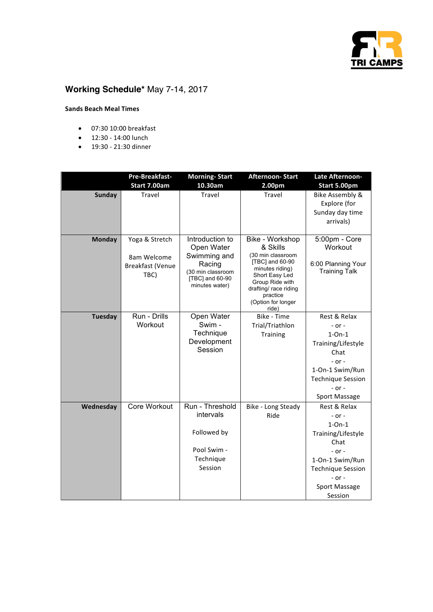

## **Working Schedule\*** May 7-14, 2017

## **Sands Beach Meal Times**

- 07:30 10:00 breakfast
- 12:30 - 14:00 lunch
- 19:30 21:30 dinner

|                | Pre-Breakfast-         | <b>Morning-Start</b>                 | <b>Afternoon-Start</b>                   | Late Afternoon-                 |
|----------------|------------------------|--------------------------------------|------------------------------------------|---------------------------------|
|                | Start 7.00am<br>Travel | 10.30am<br>Travel                    | 2.00pm<br>Travel                         | Start 5.00pm                    |
| <b>Sunday</b>  |                        |                                      |                                          | <b>Bike Assembly &amp;</b>      |
|                |                        |                                      |                                          | Explore (for<br>Sunday day time |
|                |                        |                                      |                                          |                                 |
|                |                        |                                      |                                          | arrivals)                       |
| <b>Monday</b>  | Yoga & Stretch         | Introduction to                      | Bike - Workshop                          | 5:00pm - Core                   |
|                |                        | Open Water                           | & Skills                                 | Workout                         |
|                | 8am Welcome            | Swimming and                         | (30 min classroom                        |                                 |
|                | Breakfast (Venue       | Racing                               | [TBC] and 60-90<br>minutes riding)       | 6:00 Planning Your              |
|                | TBC)                   | (30 min classroom<br>[TBC] and 60-90 | Short Easy Led                           | <b>Training Talk</b>            |
|                |                        | minutes water)                       | Group Ride with<br>drafting/ race riding |                                 |
|                |                        |                                      | practice                                 |                                 |
|                |                        |                                      | (Option for longer                       |                                 |
| <b>Tuesday</b> | Run - Drills           | Open Water                           | ride)<br>Bike - Time                     | Rest & Relax                    |
|                | Workout                | Swim -                               | Trial/Triathlon                          | $-$ or $-$                      |
|                |                        | Technique                            | Training                                 | $1$ -On- $1$                    |
|                |                        | Development                          |                                          | Training/Lifestyle              |
|                |                        | Session                              |                                          | Chat                            |
|                |                        |                                      |                                          | $-$ or $-$                      |
|                |                        |                                      |                                          | 1-On-1 Swim/Run                 |
|                |                        |                                      |                                          | <b>Technique Session</b>        |
|                |                        |                                      |                                          | $-$ or $-$                      |
|                |                        |                                      |                                          | <b>Sport Massage</b>            |
| Wednesday      | Core Workout           | Run - Threshold                      | Bike - Long Steady                       | Rest & Relax                    |
|                |                        | intervals                            | Ride                                     | $-$ or $-$                      |
|                |                        |                                      |                                          | $1$ -On- $1$                    |
|                |                        | Followed by                          |                                          | Training/Lifestyle              |
|                |                        |                                      |                                          | Chat                            |
|                |                        | Pool Swim -                          |                                          | - or -                          |
|                |                        | Technique<br>Session                 |                                          | 1-On-1 Swim/Run                 |
|                |                        |                                      |                                          | <b>Technique Session</b>        |
|                |                        |                                      |                                          | $-$ or $-$                      |
|                |                        |                                      |                                          | <b>Sport Massage</b>            |
|                |                        |                                      |                                          | Session                         |